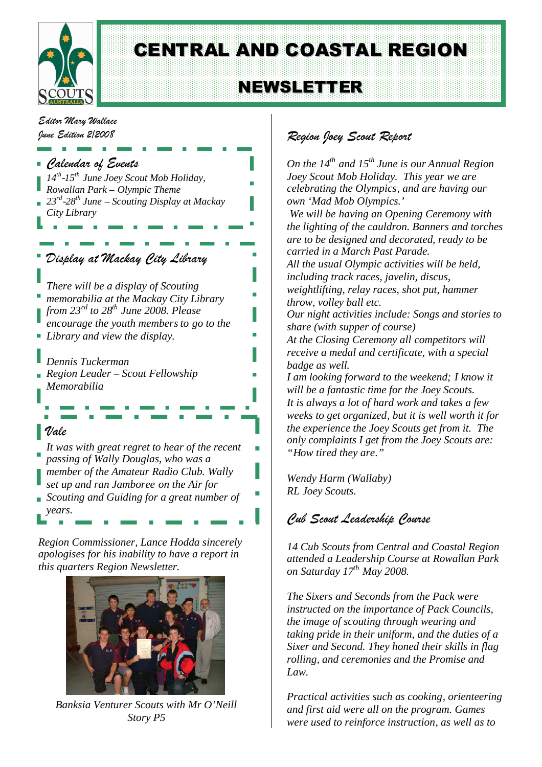

# CENTRAL AND COASTAL REGION

# **NEWSLETTER**

*Editor Mary Wallace June Edition 2/2008*



*apologises for his inability to have a report in this quarters Region Newsletter.*



*Banksia Venturer Scouts with Mr O'Neill Story P5*

## *Region Joey Scout Report*

*On the 14th and 15th June is our Annual Region Joey Scout Mob Holiday. This year we are celebrating the Olympics, and are having our own 'Mad Mob Olympics.'*

*We will be having an Opening Ceremony with the lighting of the cauldron. Banners and torches are to be designed and decorated, ready to be carried in a March Past Parade. All the usual Olympic activities will be held, including track races, javelin, discus, weightlifting, relay races, shot put, hammer throw, volley ball etc. Our night activities include: Songs and stories to share (with supper of course) At the Closing Ceremony all competitors will receive a medal and certificate, with a special badge as well. I am looking forward to the weekend; I know it will be a fantastic time for the Joey Scouts. It is always a lot of hard work and takes a few weeks to get organized, but it is well worth it for the experience the Joey Scouts get from it. The only complaints I get from the Joey Scouts are:*

*Wendy Harm (Wallaby) RL Joey Scouts.*

*"How tired they are."*

## *Cub Scout Leadership Course*

*14 Cub Scouts from Central and Coastal Region attended a Leadership Course at Rowallan Park on Saturday 17th May 2008.*

*The Sixers and Seconds from the Pack were instructed on the importance of Pack Councils, the image of scouting through wearing and taking pride in their uniform, and the duties of a Sixer and Second. They honed their skills in flag rolling, and ceremonies and the Promise and Law.*

*Practical activities such as cooking, orienteering and first aid were all on the program. Games were used to reinforce instruction, as well as to*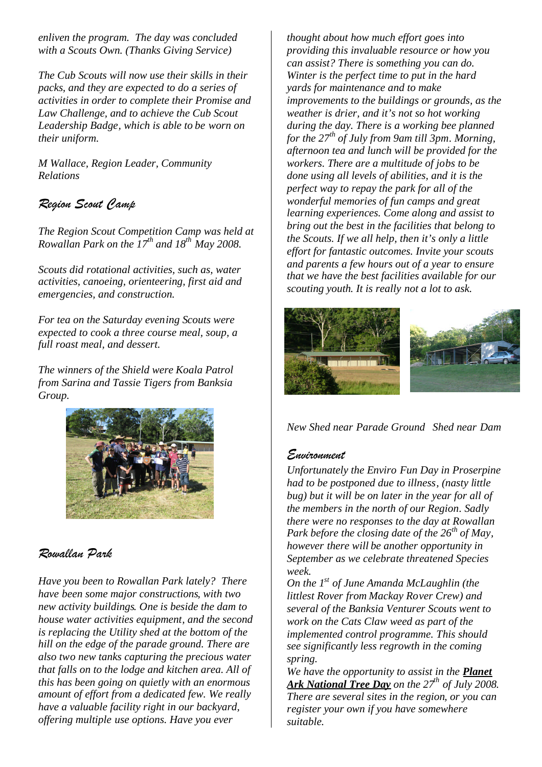*enliven the program. The day was concluded with a Scouts Own. (Thanks Giving Service)*

*The Cub Scouts will now use their skills in their packs, and they are expected to do a series of activities in order to complete their Promise and Law Challenge, and to achieve the Cub Scout Leadership Badge, which is able to be worn on their uniform.*

*M Wallace, Region Leader, Community Relations*

### *Region Scout Camp*

*The Region Scout Competition Camp was held at Rowallan Park on the 17th and 18th May 2008.*

*Scouts did rotational activities, such as, water activities, canoeing, orienteering, first aid and emergencies, and construction.*

*For tea on the Saturday evening Scouts were expected to cook a three course meal, soup, a full roast meal, and dessert.*

*The winners of the Shield were Koala Patrol from Sarina and Tassie Tigers from Banksia Group.*



### *Rowallan Park*

*Have you been to Rowallan Park lately? There have been some major constructions, with two new activity buildings. One is beside the dam to house water activities equipment, and the second is replacing the Utility shed at the bottom of the hill on the edge of the parade ground. There are also two new tanks capturing the precious water that falls on to the lodge and kitchen area. All of this has been going on quietly with an enormous amount of effort from a dedicated few. We really have a valuable facility right in our backyard, offering multiple use options. Have you ever*

*thought about how much effort goes into providing this invaluable resource or how you can assist? There is something you can do. Winter is the perfect time to put in the hard yards for maintenance and to make improvements to the buildings or grounds, as the weather is drier, and it's not so hot working during the day. There is a working bee planned for the 27th of July from 9am till 3pm. Morning, afternoon tea and lunch will be provided for the workers. There are a multitude of jobs to be done using all levels of abilities, and it is the perfect way to repay the park for all of the wonderful memories of fun camps and great learning experiences. Come along and assist to bring out the best in the facilities that belong to the Scouts. If we all help, then it's only a little effort for fantastic outcomes. Invite your scouts and parents a few hours out of a year to ensure that we have the best facilities available for our scouting youth. It is really not a lot to ask.*



*New Shed near Parade Ground Shed near Dam*

#### *Environment*

*Unfortunately the Enviro Fun Day in Proserpine had to be postponed due to illness, (nasty little bug) but it will be on later in the year for all of the members in the north of our Region. Sadly there were no responses to the day at Rowallan Park before the closing date of the 26th of May, however there will be another opportunity in September as we celebrate threatened Species week.*

*On the 1st of June Amanda McLaughlin (the littlest Rover from Mackay Rover Crew) and several of the Banksia Venturer Scouts went to work on the Cats Claw weed as part of the implemented control programme. This should see significantly less regrowth in the coming spring.*

*We have the opportunity to assist in the Planet Ark National Tree Day on the 27th of July 2008. There are several sites in the region, or you can register your own if you have somewhere suitable.*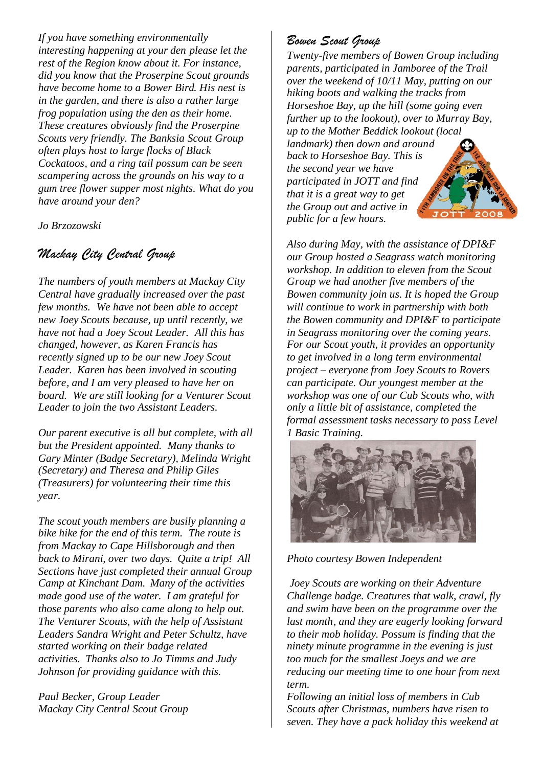*If you have something environmentally interesting happening at your den please let the rest of the Region know about it. For instance, did you know that the Proserpine Scout grounds have become home to a Bower Bird. His nest is in the garden, and there is also a rather large frog population using the den as their home. These creatures obviously find the Proserpine Scouts very friendly. The Banksia Scout Group often plays host to large flocks of Black Cockatoos, and a ring tail possum can be seen scampering across the grounds on his way to a gum tree flower supper most nights. What do you have around your den?*

*Jo Brzozowski*

## *Mackay City Central Group*

*The numbers of youth members at Mackay City Central have gradually increased over the past few months. We have not been able to accept new Joey Scouts because, up until recently, we have not had a Joey Scout Leader. All this has changed, however, as Karen Francis has recently signed up to be our new Joey Scout Leader. Karen has been involved in scouting before, and I am very pleased to have her on board. We are still looking for a Venturer Scout Leader to join the two Assistant Leaders.*

*Our parent executive is all but complete, with all but the President appointed. Many thanks to Gary Minter (Badge Secretary), Melinda Wright (Secretary) and Theresa and Philip Giles (Treasurers) for volunteering their time this year.*

*The scout youth members are busily planning a bike hike for the end of this term. The route is from Mackay to Cape Hillsborough and then back to Mirani, over two days. Quite a trip! All Sections have just completed their annual Group Camp at Kinchant Dam. Many of the activities made good use of the water. I am grateful for those parents who also came along to help out. The Venturer Scouts, with the help of Assistant Leaders Sandra Wright and Peter Schultz, have started working on their badge related activities. Thanks also to Jo Timms and Judy Johnson for providing guidance with this.*

*Paul Becker, Group Leader Mackay City Central Scout Group*

## *Bowen Scout Group*

*Twenty-five members of Bowen Group including parents, participated in Jamboree of the Trail over the weekend of 10/11 May, putting on our hiking boots and walking the tracks from Horseshoe Bay, up the hill (some going even further up to the lookout), over to Murray Bay, up to the Mother Beddick lookout (local landmark) then down and around back to Horseshoe Bay. This is the second year we have participated in JOTT and find that it is a great way to get the Group out and active in public for a few hours.*

*Also during May, with the assistance of DPI&F our Group hosted a Seagrass watch monitoring workshop. In addition to eleven from the Scout Group we had another five members of the Bowen community join us. It is hoped the Group will continue to work in partnership with both the Bowen community and DPI&F to participate in Seagrass monitoring over the coming years. For our Scout youth, it provides an opportunity to get involved in a long term environmental project – everyone from Joey Scouts to Rovers can participate. Our youngest member at the workshop was one of our Cub Scouts who, with only a little bit of assistance, completed the formal assessment tasks necessary to pass Level 1 Basic Training.*



*Photo courtesy Bowen Independent*

*Joey Scouts are working on their Adventure Challenge badge. Creatures that walk, crawl, fly and swim have been on the programme over the last month, and they are eagerly looking forward to their mob holiday. Possum is finding that the ninety minute programme in the evening is just too much for the smallest Joeys and we are reducing our meeting time to one hour from next term.*

*Following an initial loss of members in Cub Scouts after Christmas, numbers have risen to seven. They have a pack holiday this weekend at*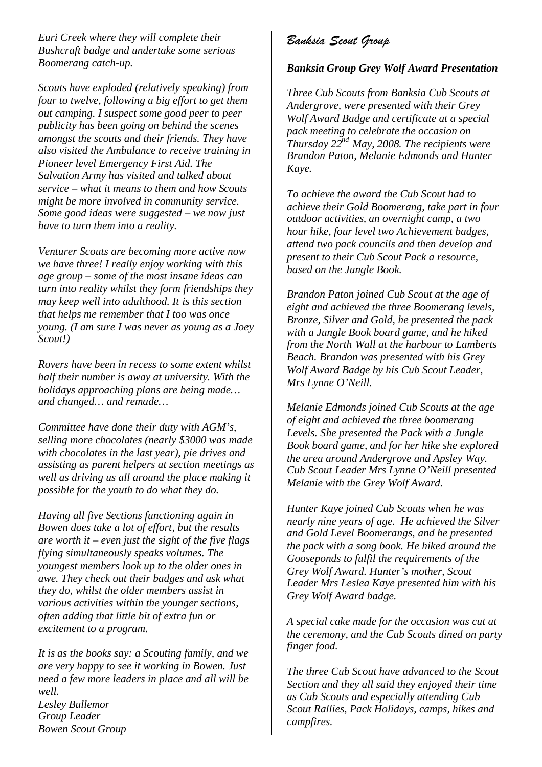*Euri Creek where they will complete their Bushcraft badge and undertake some serious Boomerang catch-up.*

*Scouts have exploded (relatively speaking) from four to twelve, following a big effort to get them out camping. I suspect some good peer to peer publicity has been going on behind the scenes amongst the scouts and their friends. They have also visited the Ambulance to receive training in Pioneer level Emergency First Aid. The Salvation Army has visited and talked about service – what it means to them and how Scouts might be more involved in community service. Some good ideas were suggested – we now just have to turn them into a reality.*

*Venturer Scouts are becoming more active now we have three! I really enjoy working with this age group – some of the most insane ideas can turn into reality whilst they form friendships they may keep well into adulthood. It is this section that helps me remember that I too was once young. (I am sure I was never as young as a Joey Scout!)*

*Rovers have been in recess to some extent whilst half their number is away at university. With the holidays approaching plans are being made… and changed… and remade…*

*Committee have done their duty with AGM's, selling more chocolates (nearly \$3000 was made with chocolates in the last year), pie drives and assisting as parent helpers at section meetings as well as driving us all around the place making it possible for the youth to do what they do.*

*Having all five Sections functioning again in Bowen does take a lot of effort, but the results are worth it – even just the sight of the five flags flying simultaneously speaks volumes. The youngest members look up to the older ones in awe. They check out their badges and ask what they do, whilst the older members assist in various activities within the younger sections, often adding that little bit of extra fun or excitement to a program.*

*It is as the books say: a Scouting family, and we are very happy to see it working in Bowen. Just need a few more leaders in place and all will be well. Lesley Bullemor Group Leader Bowen Scout Group*

## *Banksia Scout Group*

#### *Banksia Group Grey Wolf Award Presentation*

*Three Cub Scouts from Banksia Cub Scouts at Andergrove, were presented with their Grey Wolf Award Badge and certificate at a special pack meeting to celebrate the occasion on Thursday 22nd May, 2008. The recipients were Brandon Paton, Melanie Edmonds and Hunter Kaye.*

*To achieve the award the Cub Scout had to achieve their Gold Boomerang, take part in four outdoor activities, an overnight camp, a two hour hike, four level two Achievement badges, attend two pack councils and then develop and present to their Cub Scout Pack a resource, based on the Jungle Book.*

*Brandon Paton joined Cub Scout at the age of eight and achieved the three Boomerang levels, Bronze, Silver and Gold, he presented the pack with a Jungle Book board game, and he hiked from the North Wall at the harbour to Lamberts Beach. Brandon was presented with his Grey Wolf Award Badge by his Cub Scout Leader, Mrs Lynne O'Neill.*

*Melanie Edmonds joined Cub Scouts at the age of eight and achieved the three boomerang Levels. She presented the Pack with a Jungle Book board game, and for her hike she explored the area around Andergrove and Apsley Way. Cub Scout Leader Mrs Lynne O'Neill presented Melanie with the Grey Wolf Award.*

*Hunter Kaye joined Cub Scouts when he was nearly nine years of age. He achieved the Silver and Gold Level Boomerangs, and he presented the pack with a song book. He hiked around the Gooseponds to fulfil the requirements of the Grey Wolf Award. Hunter's mother, Scout Leader Mrs Leslea Kaye presented him with his Grey Wolf Award badge.*

*A special cake made for the occasion was cut at the ceremony, and the Cub Scouts dined on party finger food.*

*The three Cub Scout have advanced to the Scout Section and they all said they enjoyed their time as Cub Scouts and especially attending Cub Scout Rallies, Pack Holidays, camps, hikes and campfires.*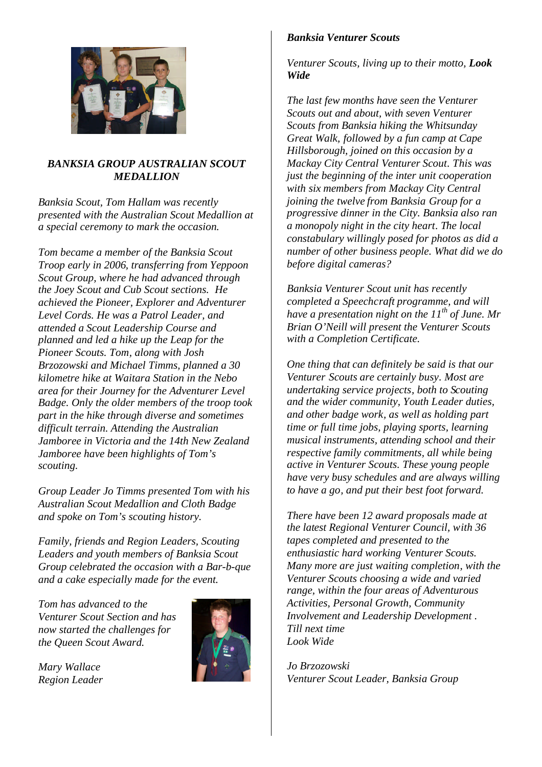

#### *BANKSIA GROUP AUSTRALIAN SCOUT MEDALLION*

*Banksia Scout, Tom Hallam was recently presented with the Australian Scout Medallion at a special ceremony to mark the occasion.*

*Tom became a member of the Banksia Scout Troop early in 2006, transferring from Yeppoon Scout Group, where he had advanced through the Joey Scout and Cub Scout sections. He achieved the Pioneer, Explorer and Adventurer Level Cords. He was a Patrol Leader, and attended a Scout Leadership Course and planned and led a hike up the Leap for the Pioneer Scouts. Tom, along with Josh Brzozowski and Michael Timms, planned a 30 kilometre hike at Waitara Station in the Nebo area for their Journey for the Adventurer Level Badge. Only the older members of the troop took part in the hike through diverse and sometimes difficult terrain. Attending the Australian Jamboree in Victoria and the 14th New Zealand Jamboree have been highlights of Tom's scouting.*

*Group Leader Jo Timms presented Tom with his Australian Scout Medallion and Cloth Badge and spoke on Tom's scouting history.*

*Family, friends and Region Leaders, Scouting Leaders and youth members of Banksia Scout Group celebrated the occasion with a Bar-b-que and a cake especially made for the event.*

*Tom has advanced to the Venturer Scout Section and has now started the challenges for the Queen Scout Award.*

*Mary Wallace Region Leader*



#### *Banksia Venturer Scouts*

*Venturer Scouts, living up to their motto, Look Wide*

*The last few months have seen the Venturer Scouts out and about, with seven Venturer Scouts from Banksia hiking the Whitsunday Great Walk, followed by a fun camp at Cape Hillsborough, joined on this occasion by a Mackay City Central Venturer Scout. This was just the beginning of the inter unit cooperation with six members from Mackay City Central joining the twelve from Banksia Group for a progressive dinner in the City. Banksia also ran a monopoly night in the city heart. The local constabulary willingly posed for photos as did a number of other business people. What did we do before digital cameras?*

*Banksia Venturer Scout unit has recently completed a Speechcraft programme, and will have a presentation night on the 11th of June. Mr Brian O'Neill will present the Venturer Scouts with a Completion Certificate.*

*One thing that can definitely be said is that our Venturer Scouts are certainly busy. Most are undertaking service projects, both to Scouting and the wider community, Youth Leader duties, and other badge work, as well as holding part time or full time jobs, playing sports, learning musical instruments, attending school and their respective family commitments, all while being active in Venturer Scouts. These young people have very busy schedules and are always willing to have a go, and put their best foot forward.*

*There have been 12 award proposals made at the latest Regional Venturer Council, with 36 tapes completed and presented to the enthusiastic hard working Venturer Scouts. Many more are just waiting completion, with the Venturer Scouts choosing a wide and varied range, within the four areas of Adventurous Activities, Personal Growth, Community Involvement and Leadership Development . Till next time Look Wide*

*Jo Brzozowski Venturer Scout Leader, Banksia Group*